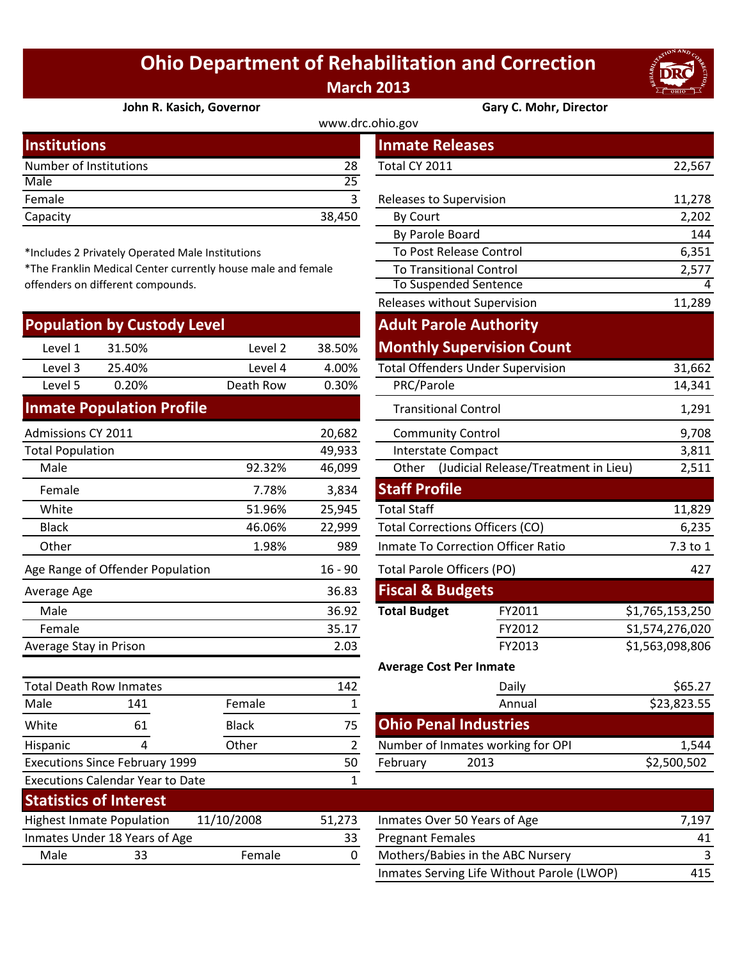## **Ohio Department of Rehabilitation and Correction March 2013**



## **[John R. Kasich, Governor](http://www.drc.ohio.gov/) Gary C. Mohr, Director**

www.drc.ohio.gov

| <b>Institutions</b>    |        | <b>Inmate Releases</b>  |        |  |  |  |  |
|------------------------|--------|-------------------------|--------|--|--|--|--|
| Number of Institutions | 28     | Total CY 2011           | 22,567 |  |  |  |  |
| Male                   |        |                         |        |  |  |  |  |
| Female                 |        | Releases to Supervision | 11,278 |  |  |  |  |
| Capacity               | 38,450 | By Court                | 2,202  |  |  |  |  |
|                        |        |                         |        |  |  |  |  |

\*Includes 2 Privately Operated Male Institutions

\*The Franklin Medical Center currently house male and female offenders on different compounds.

|                         | <b>Population by Custody Level</b>      |              |                | <b>Adult Parole Authority</b>          |                                            |                 |
|-------------------------|-----------------------------------------|--------------|----------------|----------------------------------------|--------------------------------------------|-----------------|
| Level 1                 | 31.50%                                  | Level 2      | 38.50%         |                                        | <b>Monthly Supervision Count</b>           |                 |
| Level 3                 | 25.40%                                  | Level 4      | 4.00%          |                                        | <b>Total Offenders Under Supervision</b>   | 31,662          |
| Level 5                 | 0.20%                                   | Death Row    | 0.30%          | PRC/Parole                             |                                            | 14,341          |
|                         | <b>Inmate Population Profile</b>        |              |                | <b>Transitional Control</b>            |                                            | 1,291           |
| Admissions CY 2011      |                                         |              | 20,682         | <b>Community Control</b>               |                                            | 9,708           |
| <b>Total Population</b> |                                         |              | 49,933         | <b>Interstate Compact</b>              |                                            | 3,811           |
| Male                    |                                         | 92.32%       | 46,099         |                                        | Other (Judicial Release/Treatment in Lieu) | 2,511           |
| Female                  |                                         | 7.78%        | 3,834          | <b>Staff Profile</b>                   |                                            |                 |
| White                   |                                         | 51.96%       | 25,945         | <b>Total Staff</b>                     |                                            | 11,829          |
| <b>Black</b>            |                                         | 46.06%       | 22,999         | <b>Total Corrections Officers (CO)</b> |                                            | 6,235           |
| Other                   |                                         | 1.98%        | 989            |                                        | Inmate To Correction Officer Ratio         | 7.3 to 1        |
|                         | Age Range of Offender Population        |              | $16 - 90$      | Total Parole Officers (PO)             |                                            | 427             |
| Average Age             |                                         |              | 36.83          | <b>Fiscal &amp; Budgets</b>            |                                            |                 |
| Male                    |                                         |              | 36.92          | <b>Total Budget</b>                    | FY2011                                     | \$1,765,153,250 |
| Female                  |                                         |              | 35.17          |                                        | FY2012                                     | S1,574,276,020  |
| Average Stay in Prison  |                                         |              | 2.03           |                                        | FY2013                                     | \$1,563,098,806 |
|                         |                                         |              |                | <b>Average Cost Per Inmate</b>         |                                            |                 |
|                         | <b>Total Death Row Inmates</b>          |              | 142            |                                        | Daily                                      | \$65.27         |
| Male                    | 141                                     | Female       | $\mathbf{1}$   |                                        | Annual                                     | \$23,823.55     |
| White                   | 61                                      | <b>Black</b> | 75             | <b>Ohio Penal Industries</b>           |                                            |                 |
| Hispanic                | 4                                       | Other        | $\overline{2}$ |                                        | Number of Inmates working for OPI          | 1,544           |
|                         | <b>Executions Since February 1999</b>   |              | 50             | February                               | 2013                                       | \$2,500,502     |
|                         | <b>Executions Calendar Year to Date</b> |              | 1              |                                        |                                            |                 |
|                         | <b>Statistics of Interest</b>           |              |                |                                        |                                            |                 |
|                         | <b>Highest Inmate Population</b>        | 11/10/2008   | 51,273         | Inmates Over 50 Years of Age           |                                            | 7,197           |
|                         | Inmates Under 18 Years of Age           |              | 33             | <b>Pregnant Females</b>                |                                            | 41              |
| $M = 1 -$               | ົາລ                                     | $F = 1$      | $\sim$         |                                        | Mathers (Debies in the ADC Numers)         |                 |

| stitutions                          |                                                           |              |                |                                    | <b>Inmate Releases</b>                   |                                            |                 |
|-------------------------------------|-----------------------------------------------------------|--------------|----------------|------------------------------------|------------------------------------------|--------------------------------------------|-----------------|
| mber of Institutions                |                                                           |              | 28             | Total CY 2011                      |                                          |                                            | 22,567          |
| le                                  |                                                           |              | 25             |                                    |                                          |                                            |                 |
| nale                                |                                                           |              | 3              |                                    | Releases to Supervision                  |                                            | 11,278          |
| acity                               |                                                           |              | 38,450         | By Court                           |                                          |                                            | 2,202           |
|                                     |                                                           |              |                |                                    | By Parole Board                          |                                            | 144             |
|                                     | cludes 2 Privately Operated Male Institutions             |              |                |                                    | To Post Release Control                  |                                            | 6,351           |
|                                     | e Franklin Medical Center currently house male and female |              |                |                                    | <b>To Transitional Control</b>           |                                            | 2,577           |
| nders on different compounds.       |                                                           |              |                |                                    | To Suspended Sentence                    |                                            | 4               |
|                                     |                                                           |              |                |                                    | Releases without Supervision             |                                            | 11,289          |
|                                     | pulation by Custody Level                                 |              |                |                                    | <b>Adult Parole Authority</b>            |                                            |                 |
| Level 1<br>31.50%                   |                                                           | Level 2      | 38.50%         |                                    | <b>Monthly Supervision Count</b>         |                                            |                 |
| Level 3<br>25.40%                   |                                                           | Level 4      | 4.00%          |                                    | <b>Total Offenders Under Supervision</b> |                                            | 31,662          |
| Level 5                             | 0.20%                                                     | Death Row    | 0.30%          | PRC/Parole                         |                                          |                                            | 14,341          |
| nate Population Profile             |                                                           |              |                |                                    | <b>Transitional Control</b>              |                                            | 1,291           |
| nissions CY 2011                    |                                                           |              | 20,682         |                                    | <b>Community Control</b>                 |                                            | 9,708           |
| al Population                       |                                                           |              | 49,933         |                                    | Interstate Compact                       |                                            | 3,811           |
| Male                                |                                                           | 92.32%       | 46,099         |                                    |                                          | Other (Judicial Release/Treatment in Lieu) | 2,511           |
| Female                              |                                                           | 7.78%        | 3,834          | <b>Staff Profile</b>               |                                          |                                            |                 |
| White                               |                                                           | 51.96%       | 25,945         | <b>Total Staff</b>                 |                                          |                                            | 11,829          |
| <b>Black</b>                        |                                                           | 46.06%       | 22,999         |                                    | <b>Total Corrections Officers (CO)</b>   |                                            | 6,235           |
| <b>Other</b>                        |                                                           | 1.98%        | 989            | Inmate To Correction Officer Ratio |                                          |                                            | 7.3 to 1        |
| <b>Range of Offender Population</b> |                                                           |              | $16 - 90$      | Total Parole Officers (PO)         |                                          |                                            | 427             |
| erage Age                           |                                                           |              | 36.83          |                                    | <b>Fiscal &amp; Budgets</b>              |                                            |                 |
| Male                                |                                                           |              | 36.92          | <b>Total Budget</b>                |                                          | FY2011                                     | \$1,765,153,250 |
| Female                              |                                                           |              | 35.17          |                                    |                                          | FY2012                                     | S1,574,276,020  |
| erage Stay in Prison                |                                                           |              | 2.03           |                                    | FY2013                                   |                                            | \$1,563,098,806 |
|                                     |                                                           |              |                |                                    | <b>Average Cost Per Inmate</b>           |                                            |                 |
| al Death Row Inmates                |                                                           |              | 142            |                                    | Daily                                    |                                            | \$65.27         |
| le                                  | 141                                                       | Female       | $\mathbf{1}$   |                                    | Annual                                   |                                            | \$23,823.55     |
| ite                                 | 61                                                        | <b>Black</b> | 75             |                                    | <b>Ohio Penal Industries</b>             |                                            |                 |
| panic                               | 4                                                         | Other        | $\overline{2}$ |                                    | Number of Inmates working for OPI        |                                            | 1,544           |
| cutions Since February 1999         |                                                           |              | 50             | February                           | 2013                                     |                                            | \$2,500,502     |
| cutions Calendar Year to Date       |                                                           |              | $\mathbf{1}$   |                                    |                                          |                                            |                 |
| stictics of Interest                |                                                           |              |                |                                    |                                          |                                            |                 |

| <b>Highest Inmate Population</b> |                               | 11/10/2008 | 51.273 | Inmates Over 50 Years of Age               | 7.197 |
|----------------------------------|-------------------------------|------------|--------|--------------------------------------------|-------|
|                                  | Inmates Under 18 Years of Age |            |        | <b>Pregnant Females</b>                    | 41    |
| Male                             | 33                            | Female     |        | Mothers/Babies in the ABC Nursery          |       |
|                                  |                               |            |        | Inmates Serving Life Without Parole (LWOP) | 415   |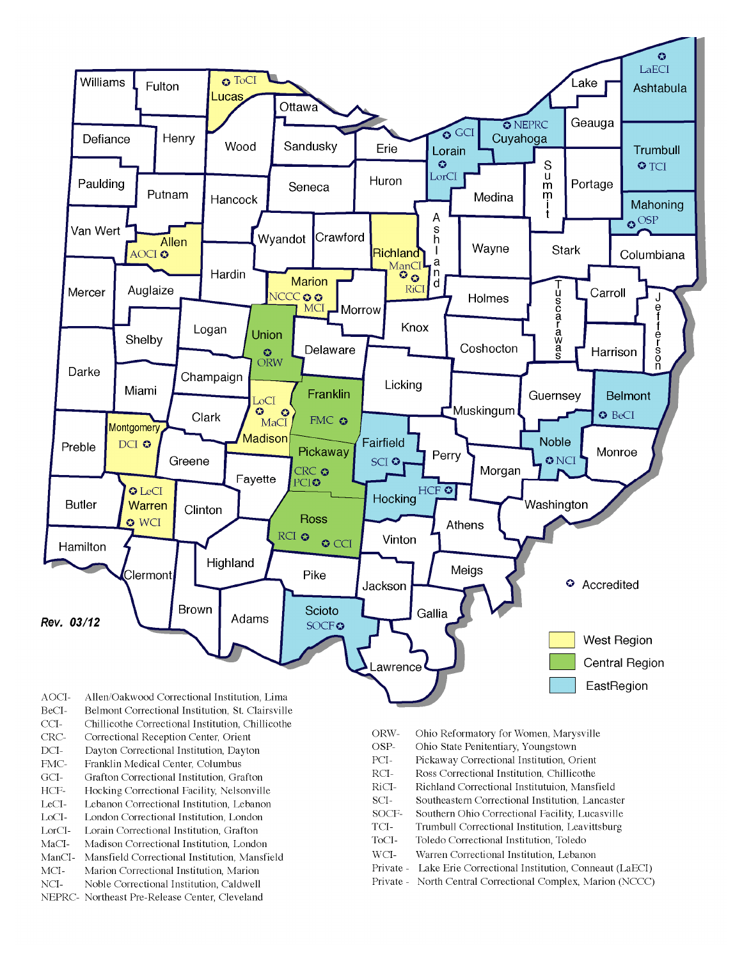

- BeCI-Belmont Correctional Institution, St. Clairsville
- $CCI-$ Chillicothe Correctional Institution, Chillicothe
- Correctional Reception Center, Orient CRC-
- $DCI-$ Dayton Correctional Institution, Dayton
- FMC-Franklin Medical Center, Columbus
- $\rm{GCI}\mbox{-}$ Grafton Correctional Institution, Grafton
- HCF-Hocking Correctional Facility, Nelsonville
- LeCI-Lebanon Correctional Institution, Lebanon
- LoCI-London Correctional Institution. London
- $\operatorname{LorCl-}$ Lorain Correctional Institution, Grafton
- $MaCI-$ Madison Correctional Institution, London
- ManCI-Mansfield Correctional Institution, Mansfield MCI-Marion Correctional Institution, Marion
- Noble Correctional Institution, Caldwell
- NCI-NEPRC- Northeast Pre-Release Center, Cleveland
- ORW-Ohio Reformatory for Women, Marysville
- OSP-Ohio State Penitentiary, Youngstown
- PCI-Pickaway Correctional Institution, Orient
- $\rm RCI-$ Ross Correctional Institution, Chillicothe
- RiCI-Richland Correctional Institutuion, Mansfield
- SCI-Southeastern Correctional Institution, Lancaster
- SOCF-Southern Ohio Correctional Facility, Lucasville
- TCI-Trumbull Correctional Institution, Leavittsburg
- ToCI-Toledo Correctional Institution, Toledo
- $WCI-$ Warren Correctional Institution, Lebanon
- Private Lake Erie Correctional Institution, Conneaut (LaECI)
- Private North Central Correctional Complex, Marion (NCCC)